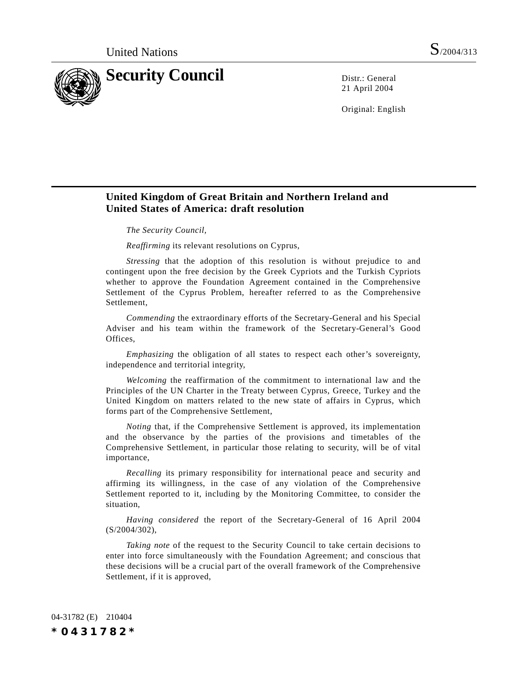

21 April 2004

Original: English

# **United Kingdom of Great Britain and Northern Ireland and United States of America: draft resolution**

*The Security Council,*

*Reaffirming* its relevant resolutions on Cyprus,

*Stressing* that the adoption of this resolution is without prejudice to and contingent upon the free decision by the Greek Cypriots and the Turkish Cypriots whether to approve the Foundation Agreement contained in the Comprehensive Settlement of the Cyprus Problem, hereafter referred to as the Comprehensive Settlement,

*Commending* the extraordinary efforts of the Secretary-General and his Special Adviser and his team within the framework of the Secretary-General's Good Offices,

*Emphasizing* the obligation of all states to respect each other's sovereignty, independence and territorial integrity,

*Welcoming* the reaffirmation of the commitment to international law and the Principles of the UN Charter in the Treaty between Cyprus, Greece, Turkey and the United Kingdom on matters related to the new state of affairs in Cyprus, which forms part of the Comprehensive Settlement,

*Noting* that, if the Comprehensive Settlement is approved, its implementation and the observance by the parties of the provisions and timetables of the Comprehensive Settlement, in particular those relating to security, will be of vital importance,

*Recalling* its primary responsibility for international peace and security and affirming its willingness, in the case of any violation of the Comprehensive Settlement reported to it, including by the Monitoring Committee, to consider the situation,

*Having considered* the report of the Secretary-General of 16 April 2004 (S/2004/302),

*Taking note* of the request to the Security Council to take certain decisions to enter into force simultaneously with the Foundation Agreement; and conscious that these decisions will be a crucial part of the overall framework of the Comprehensive Settlement, if it is approved,

04-31782 (E) 210404 *\*0431782\**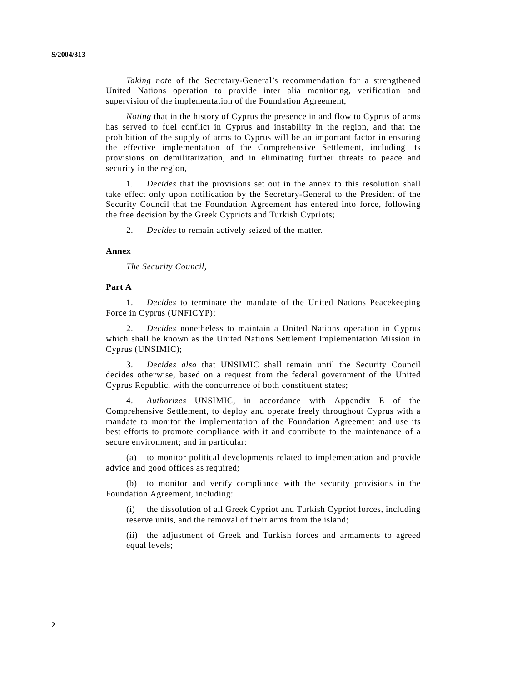*Taking note* of the Secretary-General's recommendation for a strengthened United Nations operation to provide inter alia monitoring, verification and supervision of the implementation of the Foundation Agreement,

*Noting* that in the history of Cyprus the presence in and flow to Cyprus of arms has served to fuel conflict in Cyprus and instability in the region, and that the prohibition of the supply of arms to Cyprus will be an important factor in ensuring the effective implementation of the Comprehensive Settlement, including its provisions on demilitarization, and in eliminating further threats to peace and security in the region,

1. *Decides* that the provisions set out in the annex to this resolution shall take effect only upon notification by the Secretary-General to the President of the Security Council that the Foundation Agreement has entered into force, following the free decision by the Greek Cypriots and Turkish Cypriots;

2. *Decides* to remain actively seized of the matter.

#### **Annex**

*The Security Council,*

#### **Part A**

1. *Decides* to terminate the mandate of the United Nations Peacekeeping Force in Cyprus (UNFICYP);

2. *Decides* nonetheless to maintain a United Nations operation in Cyprus which shall be known as the United Nations Settlement Implementation Mission in Cyprus (UNSIMIC);

3. *Decides also* that UNSIMIC shall remain until the Security Council decides otherwise, based on a request from the federal government of the United Cyprus Republic, with the concurrence of both constituent states;

4. *Authorizes* UNSIMIC, in accordance with Appendix E of the Comprehensive Settlement, to deploy and operate freely throughout Cyprus with a mandate to monitor the implementation of the Foundation Agreement and use its best efforts to promote compliance with it and contribute to the maintenance of a secure environment; and in particular:

(a) to monitor political developments related to implementation and provide advice and good offices as required;

(b) to monitor and verify compliance with the security provisions in the Foundation Agreement, including:

(i) the dissolution of all Greek Cypriot and Turkish Cypriot forces, including reserve units, and the removal of their arms from the island;

(ii) the adjustment of Greek and Turkish forces and armaments to agreed equal levels;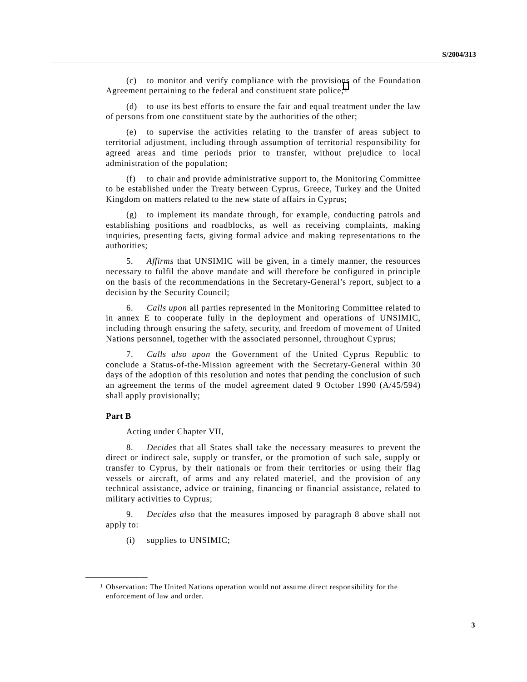(c) to monitor and verify compliance with the provisions of the Foundation Agreement pertaining to the federal and constituent state police;<sup>1</sup>

(d) to use its best efforts to ensure the fair and equal treatment under the law of persons from one constituent state by the authorities of the other;

(e) to supervise the activities relating to the transfer of areas subject to territorial adjustment, including through assumption of territorial responsibility for agreed areas and time periods prior to transfer, without prejudice to local administration of the population;

(f) to chair and provide administrative support to, the Monitoring Committee to be established under the Treaty between Cyprus, Greece, Turkey and the United Kingdom on matters related to the new state of affairs in Cyprus;

(g) to implement its mandate through, for example, conducting patrols and establishing positions and roadblocks, as well as receiving complaints, making inquiries, presenting facts, giving formal advice and making representations to the authorities;

5. *Affirms* that UNSIMIC will be given, in a timely manner, the resources necessary to fulfil the above mandate and will therefore be configured in principle on the basis of the recommendations in the Secretary-General's report, subject to a decision by the Security Council;

6. *Calls upon* all parties represented in the Monitoring Committee related to in annex E to cooperate fully in the deployment and operations of UNSIMIC, including through ensuring the safety, security, and freedom of movement of United Nations personnel, together with the associated personnel, throughout Cyprus;

7. *Calls also upon* the Government of the United Cyprus Republic to conclude a Status-of-the-Mission agreement with the Secretary-General within 30 days of the adoption of this resolution and notes that pending the conclusion of such an agreement the terms of the model agreement dated 9 October 1990 (A/45/594) shall apply provisionally;

### **Part B**

**\_\_\_\_\_\_\_\_\_\_\_\_\_\_\_\_\_\_**

Acting under Chapter VII,

8. *Decides* that all States shall take the necessary measures to prevent the direct or indirect sale, supply or transfer, or the promotion of such sale, supply or transfer to Cyprus, by their nationals or from their territories or using their flag vessels or aircraft, of arms and any related materiel, and the provision of any technical assistance, advice or training, financing or financial assistance, related to military activities to Cyprus;

9. *Decides also* that the measures imposed by paragraph 8 above shall not apply to:

(i) supplies to UNSIMIC;

<sup>1</sup> Observation: The United Nations operation would not assume direct responsibility for the enforcement of law and order.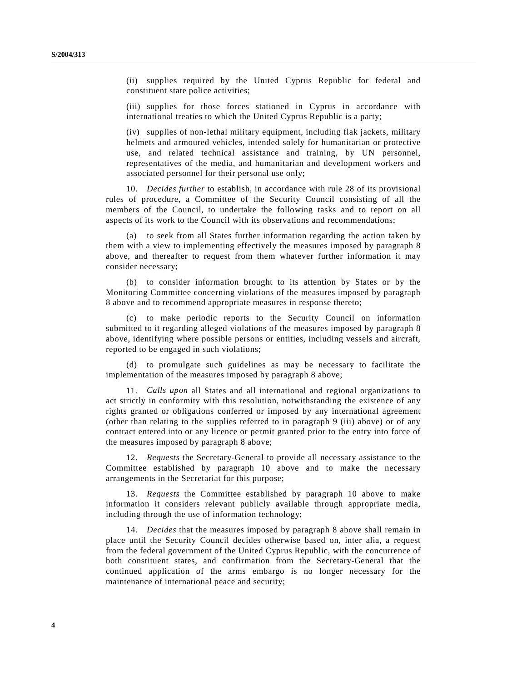(ii) supplies required by the United Cyprus Republic for federal and constituent state police activities;

(iii) supplies for those forces stationed in Cyprus in accordance with international treaties to which the United Cyprus Republic is a party;

(iv) supplies of non-lethal military equipment, including flak jackets, military helmets and armoured vehicles, intended solely for humanitarian or protective use, and related technical assistance and training, by UN personnel, representatives of the media, and humanitarian and development workers and associated personnel for their personal use only;

10. *Decides further* to establish, in accordance with rule 28 of its provisional rules of procedure, a Committee of the Security Council consisting of all the members of the Council, to undertake the following tasks and to report on all aspects of its work to the Council with its observations and recommendations;

(a) to seek from all States further information regarding the action taken by them with a view to implementing effectively the measures imposed by paragraph 8 above, and thereafter to request from them whatever further information it may consider necessary;

(b) to consider information brought to its attention by States or by the Monitoring Committee concerning violations of the measures imposed by paragraph 8 above and to recommend appropriate measures in response thereto;

(c) to make periodic reports to the Security Council on information submitted to it regarding alleged violations of the measures imposed by paragraph 8 above, identifying where possible persons or entities, including vessels and aircraft, reported to be engaged in such violations;

(d) to promulgate such guidelines as may be necessary to facilitate the implementation of the measures imposed by paragraph 8 above;

11. *Calls upon* all States and all international and regional organizations to act strictly in conformity with this resolution, notwithstanding the existence of any rights granted or obligations conferred or imposed by any international agreement (other than relating to the supplies referred to in paragraph 9 (iii) above) or of any contract entered into or any licence or permit granted prior to the entry into force of the measures imposed by paragraph 8 above;

12. *Requests* the Secretary-General to provide all necessary assistance to the Committee established by paragraph 10 above and to make the necessary arrangements in the Secretariat for this purpose;

13. *Requests* the Committee established by paragraph 10 above to make information it considers relevant publicly available through appropriate media, including through the use of information technology;

14. *Decides* that the measures imposed by paragraph 8 above shall remain in place until the Security Council decides otherwise based on, inter alia, a request from the federal government of the United Cyprus Republic, with the concurrence of both constituent states, and confirmation from the Secretary-General that the continued application of the arms embargo is no longer necessary for the maintenance of international peace and security;